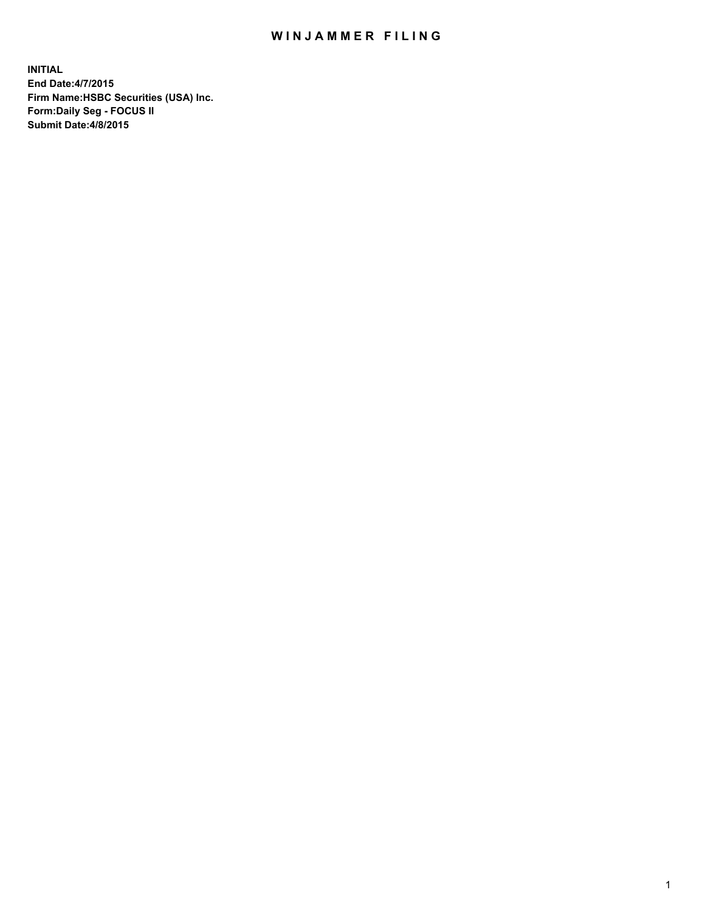## WIN JAMMER FILING

**INITIAL End Date:4/7/2015 Firm Name:HSBC Securities (USA) Inc. Form:Daily Seg - FOCUS II Submit Date:4/8/2015**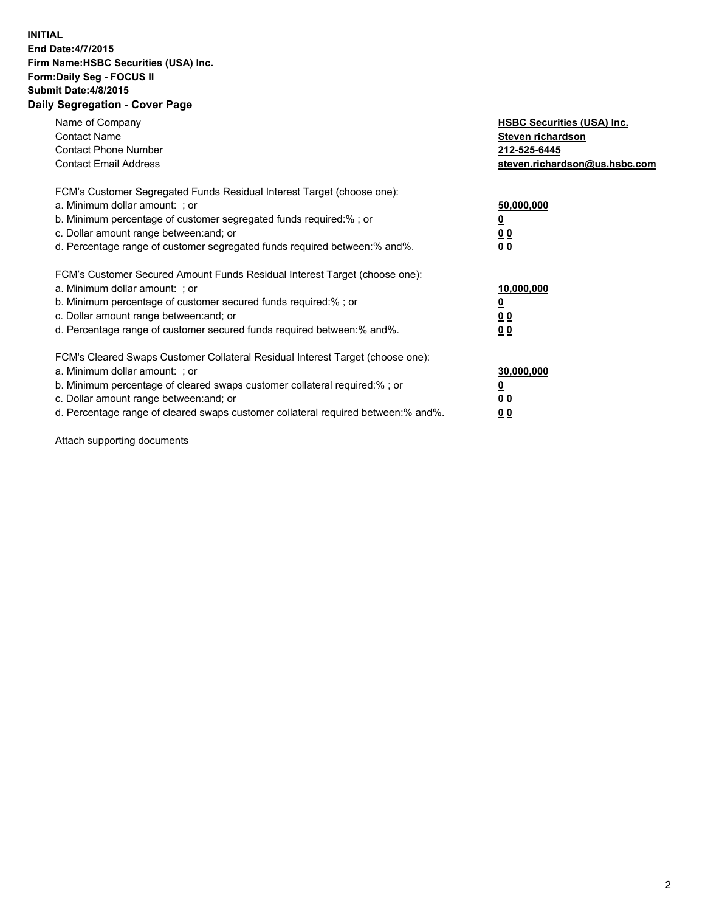## **INITIAL End Date:4/7/2015 Firm Name:HSBC Securities (USA) Inc. Form:Daily Seg - FOCUS II Submit Date:4/8/2015 Daily Segregation - Cover Page**

| Name of Company<br><b>Contact Name</b><br><b>Contact Phone Number</b><br><b>Contact Email Address</b>                                                                                                                                                                                                                         | <b>HSBC Securities (USA) Inc.</b><br>Steven richardson<br>212-525-6445<br>steven.richardson@us.hsbc.com |
|-------------------------------------------------------------------------------------------------------------------------------------------------------------------------------------------------------------------------------------------------------------------------------------------------------------------------------|---------------------------------------------------------------------------------------------------------|
| FCM's Customer Segregated Funds Residual Interest Target (choose one):<br>a. Minimum dollar amount: ; or<br>b. Minimum percentage of customer segregated funds required:% ; or<br>c. Dollar amount range between: and; or<br>d. Percentage range of customer segregated funds required between: % and %.                      | 50,000,000<br>0 <sub>0</sub><br>00                                                                      |
| FCM's Customer Secured Amount Funds Residual Interest Target (choose one):<br>a. Minimum dollar amount: ; or<br>b. Minimum percentage of customer secured funds required:%; or<br>c. Dollar amount range between: and; or<br>d. Percentage range of customer secured funds required between: % and %.                         | 10,000,000<br>00<br>00                                                                                  |
| FCM's Cleared Swaps Customer Collateral Residual Interest Target (choose one):<br>a. Minimum dollar amount: ; or<br>b. Minimum percentage of cleared swaps customer collateral required:%; or<br>c. Dollar amount range between: and; or<br>d. Percentage range of cleared swaps customer collateral required between:% and%. | 30,000,000<br>0 <sub>0</sub><br>00                                                                      |

Attach supporting documents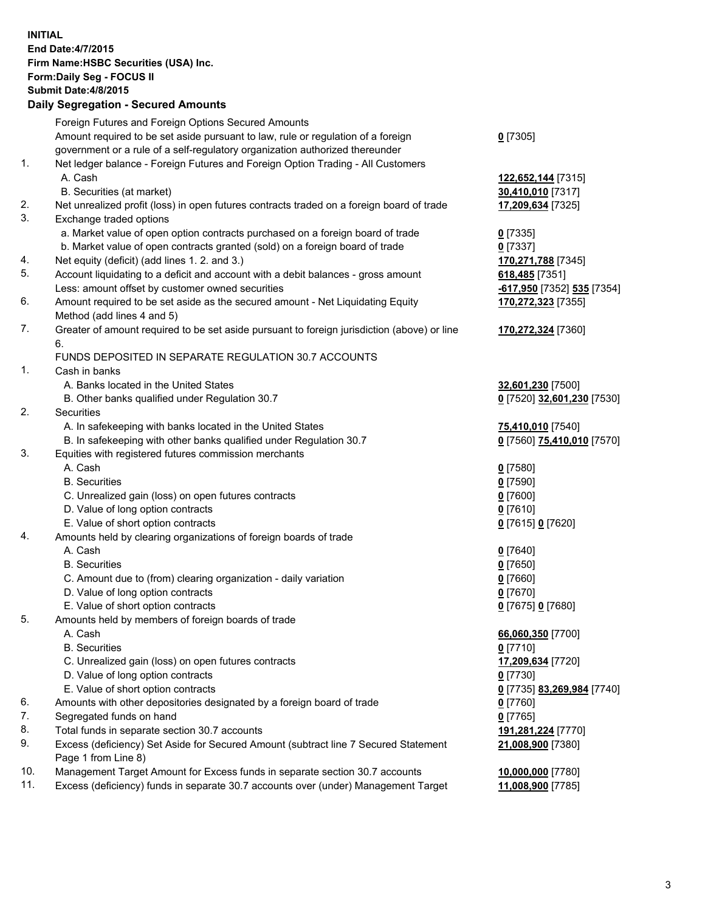**INITIAL End Date:4/7/2015 Firm Name:HSBC Securities (USA) Inc. Form:Daily Seg - FOCUS II Submit Date:4/8/2015 Daily Segregation - Secured Amounts** Foreign Futures and Foreign Options Secured Amounts Amount required to be set aside pursuant to law, rule or regulation of a foreign government or a rule of a self-regulatory organization authorized thereunder **0** [7305] 1. Net ledger balance - Foreign Futures and Foreign Option Trading - All Customers A. Cash **122,652,144** [7315] B. Securities (at market) **30,410,010** [7317] 2. Net unrealized profit (loss) in open futures contracts traded on a foreign board of trade **17,209,634** [7325] 3. Exchange traded options a. Market value of open option contracts purchased on a foreign board of trade **0** [7335] b. Market value of open contracts granted (sold) on a foreign board of trade **0** [7337] 4. Net equity (deficit) (add lines 1. 2. and 3.) **170,271,788** [7345] 5. Account liquidating to a deficit and account with a debit balances - gross amount **618,485** [7351] Less: amount offset by customer owned securities **-617,950** [7352] **535** [7354] 6. Amount required to be set aside as the secured amount - Net Liquidating Equity Method (add lines 4 and 5) **170,272,323** [7355] 7. Greater of amount required to be set aside pursuant to foreign jurisdiction (above) or line 6. **170,272,324** [7360] FUNDS DEPOSITED IN SEPARATE REGULATION 30.7 ACCOUNTS 1. Cash in banks A. Banks located in the United States **32,601,230** [7500] B. Other banks qualified under Regulation 30.7 **0** [7520] **32,601,230** [7530] 2. Securities A. In safekeeping with banks located in the United States **75,410,010** [7540] B. In safekeeping with other banks qualified under Regulation 30.7 **0** [7560] **75,410,010** [7570] 3. Equities with registered futures commission merchants A. Cash **0** [7580] B. Securities **0** [7590] C. Unrealized gain (loss) on open futures contracts **0** [7600] D. Value of long option contracts **0** [7610] E. Value of short option contracts **0** [7615] **0** [7620] 4. Amounts held by clearing organizations of foreign boards of trade A. Cash **0** [7640] B. Securities **0** [7650] C. Amount due to (from) clearing organization - daily variation **0** [7660] D. Value of long option contracts **0** [7670] E. Value of short option contracts **0** [7675] **0** [7680] 5. Amounts held by members of foreign boards of trade A. Cash **66,060,350** [7700] B. Securities **0** [7710] C. Unrealized gain (loss) on open futures contracts **17,209,634** [7720] D. Value of long option contracts **0** [7730] E. Value of short option contracts **0** [7735] **83,269,984** [7740] 6. Amounts with other depositories designated by a foreign board of trade **0** [7760] 7. Segregated funds on hand **0** [7765] 8. Total funds in separate section 30.7 accounts **191,281,224** [7770] 9. Excess (deficiency) Set Aside for Secured Amount (subtract line 7 Secured Statement Page 1 from Line 8) **21,008,900** [7380] 10. Management Target Amount for Excess funds in separate section 30.7 accounts **10,000,000** [7780]

11. Excess (deficiency) funds in separate 30.7 accounts over (under) Management Target **11,008,900** [7785]

3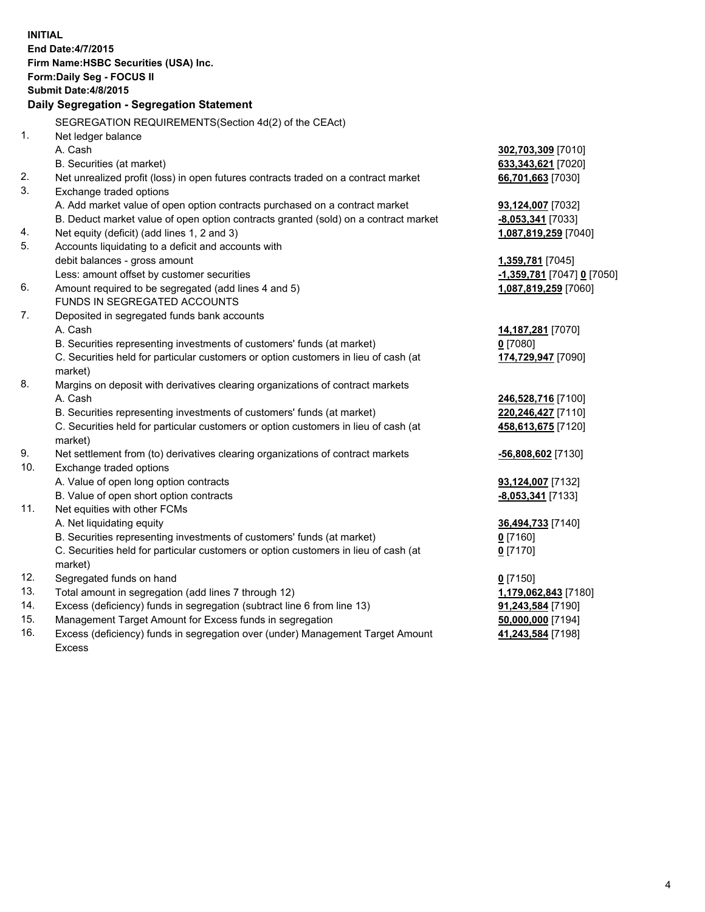| <b>INITIAL</b> | End Date: 4/7/2015<br>Firm Name: HSBC Securities (USA) Inc.<br>Form: Daily Seg - FOCUS II<br><b>Submit Date: 4/8/2015</b><br>Daily Segregation - Segregation Statement<br>SEGREGATION REQUIREMENTS(Section 4d(2) of the CEAct) |                                           |
|----------------|--------------------------------------------------------------------------------------------------------------------------------------------------------------------------------------------------------------------------------|-------------------------------------------|
| 1.             | Net ledger balance<br>A. Cash                                                                                                                                                                                                  | 302,703,309 [7010]                        |
|                | B. Securities (at market)                                                                                                                                                                                                      | 633,343,621 [7020]                        |
| 2.             | Net unrealized profit (loss) in open futures contracts traded on a contract market                                                                                                                                             | 66,701,663 [7030]                         |
| 3.             | Exchange traded options                                                                                                                                                                                                        |                                           |
|                | A. Add market value of open option contracts purchased on a contract market                                                                                                                                                    | 93,124,007 [7032]                         |
|                | B. Deduct market value of open option contracts granted (sold) on a contract market                                                                                                                                            | $-8,053,341$ [7033]                       |
| 4.             | Net equity (deficit) (add lines 1, 2 and 3)                                                                                                                                                                                    | 1,087,819,259 [7040]                      |
| 5.             | Accounts liquidating to a deficit and accounts with                                                                                                                                                                            |                                           |
|                | debit balances - gross amount                                                                                                                                                                                                  | 1,359,781 [7045]                          |
|                | Less: amount offset by customer securities                                                                                                                                                                                     | -1,359,781 [7047] 0 [7050]                |
| 6.             | Amount required to be segregated (add lines 4 and 5)                                                                                                                                                                           | 1,087,819,259 [7060]                      |
|                | FUNDS IN SEGREGATED ACCOUNTS                                                                                                                                                                                                   |                                           |
| 7.             | Deposited in segregated funds bank accounts                                                                                                                                                                                    |                                           |
|                | A. Cash                                                                                                                                                                                                                        | 14,187,281 [7070]                         |
|                | B. Securities representing investments of customers' funds (at market)                                                                                                                                                         | $0$ [7080]                                |
|                | C. Securities held for particular customers or option customers in lieu of cash (at<br>market)                                                                                                                                 | 174,729,947 [7090]                        |
| 8.             | Margins on deposit with derivatives clearing organizations of contract markets                                                                                                                                                 |                                           |
|                | A. Cash                                                                                                                                                                                                                        | 246,528,716 [7100]                        |
|                | B. Securities representing investments of customers' funds (at market)                                                                                                                                                         | 220, 246, 427 [7110]                      |
|                | C. Securities held for particular customers or option customers in lieu of cash (at<br>market)                                                                                                                                 | 458,613,675 [7120]                        |
| 9.             | Net settlement from (to) derivatives clearing organizations of contract markets                                                                                                                                                | -56,808,602 [7130]                        |
| 10.            | Exchange traded options                                                                                                                                                                                                        |                                           |
|                | A. Value of open long option contracts                                                                                                                                                                                         | 93,124,007 [7132]                         |
|                | B. Value of open short option contracts                                                                                                                                                                                        | $-8,053,341$ [7133]                       |
| 11.            | Net equities with other FCMs                                                                                                                                                                                                   |                                           |
|                | A. Net liquidating equity                                                                                                                                                                                                      | 36,494,733 [7140]                         |
|                | B. Securities representing investments of customers' funds (at market)                                                                                                                                                         | 0 [7160]                                  |
|                | C. Securities held for particular customers or option customers in lieu of cash (at                                                                                                                                            | $0$ [7170]                                |
| 12.            | market)                                                                                                                                                                                                                        |                                           |
| 13.            | Segregated funds on hand                                                                                                                                                                                                       | $0$ [7150]                                |
| 14.            | Total amount in segregation (add lines 7 through 12)<br>Excess (deficiency) funds in segregation (subtract line 6 from line 13)                                                                                                | 1,179,062,843 [7180]<br>91,243,584 [7190] |
| 15.            | Management Target Amount for Excess funds in segregation                                                                                                                                                                       | 50,000,000 [7194]                         |
| 16.            | Excess (deficiency) funds in segregation over (under) Management Target Amount                                                                                                                                                 | 41,243,584 [7198]                         |
|                | Excess                                                                                                                                                                                                                         |                                           |